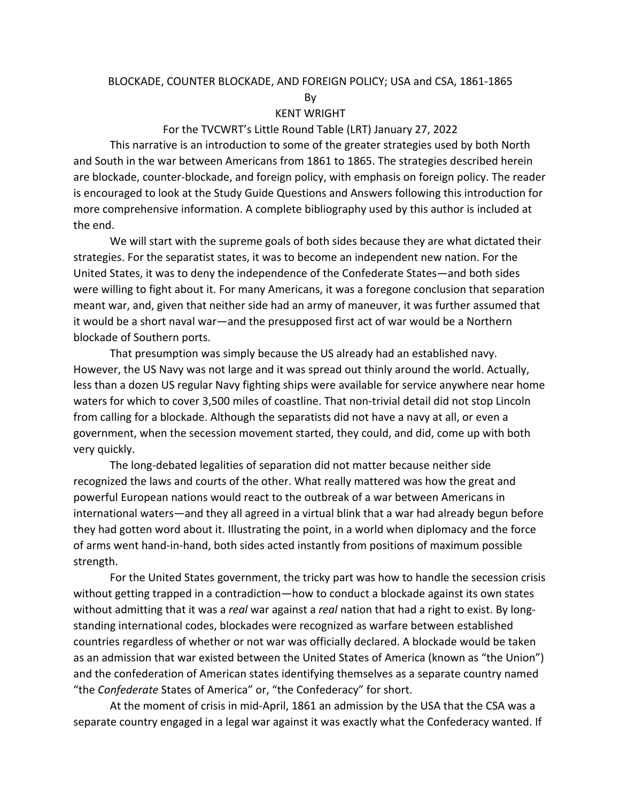# BLOCKADE, COUNTER BLOCKADE, AND FOREIGN POLICY; USA and CSA, 1861-1865

By

# KENT WRIGHT

# For the TVCWRT's Little Round Table (LRT) January 27, 2022

This narrative is an introduction to some of the greater strategies used by both North and South in the war between Americans from 1861 to 1865. The strategies described herein are blockade, counter-blockade, and foreign policy, with emphasis on foreign policy. The reader is encouraged to look at the Study Guide Questions and Answers following this introduction for more comprehensive information. A complete bibliography used by this author is included at the end.

We will start with the supreme goals of both sides because they are what dictated their strategies. For the separatist states, it was to become an independent new nation. For the United States, it was to deny the independence of the Confederate States—and both sides were willing to fight about it. For many Americans, it was a foregone conclusion that separation meant war, and, given that neither side had an army of maneuver, it was further assumed that it would be a short naval war—and the presupposed first act of war would be a Northern blockade of Southern ports.

That presumption was simply because the US already had an established navy. However, the US Navy was not large and it was spread out thinly around the world. Actually, less than a dozen US regular Navy fighting ships were available for service anywhere near home waters for which to cover 3,500 miles of coastline. That non-trivial detail did not stop Lincoln from calling for a blockade. Although the separatists did not have a navy at all, or even a government, when the secession movement started, they could, and did, come up with both very quickly.

The long-debated legalities of separation did not matter because neither side recognized the laws and courts of the other. What really mattered was how the great and powerful European nations would react to the outbreak of a war between Americans in international waters—and they all agreed in a virtual blink that a war had already begun before they had gotten word about it. Illustrating the point, in a world when diplomacy and the force of arms went hand-in-hand, both sides acted instantly from positions of maximum possible strength.

For the United States government, the tricky part was how to handle the secession crisis without getting trapped in a contradiction—how to conduct a blockade against its own states without admitting that it was a *real* war against a *real* nation that had a right to exist. By longstanding international codes, blockades were recognized as warfare between established countries regardless of whether or not war was officially declared. A blockade would be taken as an admission that war existed between the United States of America (known as "the Union") and the confederation of American states identifying themselves as a separate country named "the *Confederate* States of America" or, "the Confederacy" for short.

At the moment of crisis in mid-April, 1861 an admission by the USA that the CSA was a separate country engaged in a legal war against it was exactly what the Confederacy wanted. If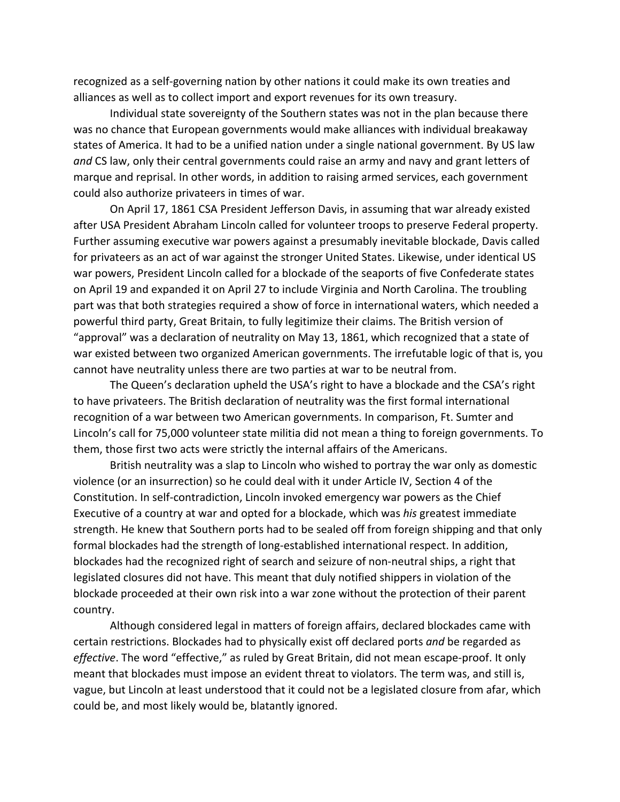recognized as a self-governing nation by other nations it could make its own treaties and alliances as well as to collect import and export revenues for its own treasury.

Individual state sovereignty of the Southern states was not in the plan because there was no chance that European governments would make alliances with individual breakaway states of America. It had to be a unified nation under a single national government. By US law *and* CS law, only their central governments could raise an army and navy and grant letters of marque and reprisal. In other words, in addition to raising armed services, each government could also authorize privateers in times of war.

On April 17, 1861 CSA President Jefferson Davis, in assuming that war already existed after USA President Abraham Lincoln called for volunteer troops to preserve Federal property. Further assuming executive war powers against a presumably inevitable blockade, Davis called for privateers as an act of war against the stronger United States. Likewise, under identical US war powers, President Lincoln called for a blockade of the seaports of five Confederate states on April 19 and expanded it on April 27 to include Virginia and North Carolina. The troubling part was that both strategies required a show of force in international waters, which needed a powerful third party, Great Britain, to fully legitimize their claims. The British version of "approval" was a declaration of neutrality on May 13, 1861, which recognized that a state of war existed between two organized American governments. The irrefutable logic of that is, you cannot have neutrality unless there are two parties at war to be neutral from.

The Queen's declaration upheld the USA's right to have a blockade and the CSA's right to have privateers. The British declaration of neutrality was the first formal international recognition of a war between two American governments. In comparison, Ft. Sumter and Lincoln's call for 75,000 volunteer state militia did not mean a thing to foreign governments. To them, those first two acts were strictly the internal affairs of the Americans.

British neutrality was a slap to Lincoln who wished to portray the war only as domestic violence (or an insurrection) so he could deal with it under Article IV, Section 4 of the Constitution. In self-contradiction, Lincoln invoked emergency war powers as the Chief Executive of a country at war and opted for a blockade, which was *his* greatest immediate strength. He knew that Southern ports had to be sealed off from foreign shipping and that only formal blockades had the strength of long-established international respect. In addition, blockades had the recognized right of search and seizure of non-neutral ships, a right that legislated closures did not have. This meant that duly notified shippers in violation of the blockade proceeded at their own risk into a war zone without the protection of their parent country.

Although considered legal in matters of foreign affairs, declared blockades came with certain restrictions. Blockades had to physically exist off declared ports *and* be regarded as *effective*. The word "effective," as ruled by Great Britain, did not mean escape-proof. It only meant that blockades must impose an evident threat to violators. The term was, and still is, vague, but Lincoln at least understood that it could not be a legislated closure from afar, which could be, and most likely would be, blatantly ignored.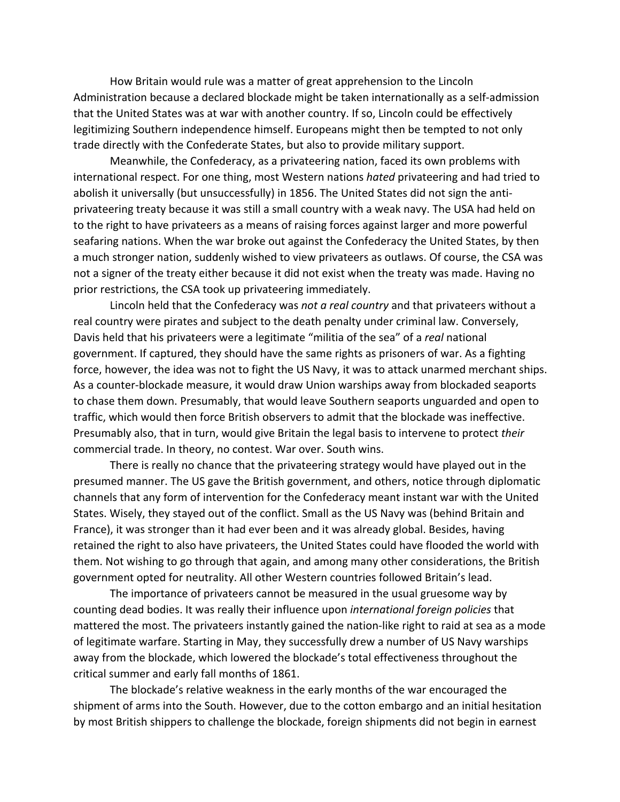How Britain would rule was a matter of great apprehension to the Lincoln Administration because a declared blockade might be taken internationally as a self-admission that the United States was at war with another country. If so, Lincoln could be effectively legitimizing Southern independence himself. Europeans might then be tempted to not only trade directly with the Confederate States, but also to provide military support.

Meanwhile, the Confederacy, as a privateering nation, faced its own problems with international respect. For one thing, most Western nations *hated* privateering and had tried to abolish it universally (but unsuccessfully) in 1856. The United States did not sign the antiprivateering treaty because it was still a small country with a weak navy. The USA had held on to the right to have privateers as a means of raising forces against larger and more powerful seafaring nations. When the war broke out against the Confederacy the United States, by then a much stronger nation, suddenly wished to view privateers as outlaws. Of course, the CSA was not a signer of the treaty either because it did not exist when the treaty was made. Having no prior restrictions, the CSA took up privateering immediately.

Lincoln held that the Confederacy was *not a real country* and that privateers without a real country were pirates and subject to the death penalty under criminal law. Conversely, Davis held that his privateers were a legitimate "militia of the sea" of a *real* national government. If captured, they should have the same rights as prisoners of war. As a fighting force, however, the idea was not to fight the US Navy, it was to attack unarmed merchant ships. As a counter-blockade measure, it would draw Union warships away from blockaded seaports to chase them down. Presumably, that would leave Southern seaports unguarded and open to traffic, which would then force British observers to admit that the blockade was ineffective. Presumably also, that in turn, would give Britain the legal basis to intervene to protect *their* commercial trade. In theory, no contest. War over. South wins.

There is really no chance that the privateering strategy would have played out in the presumed manner. The US gave the British government, and others, notice through diplomatic channels that any form of intervention for the Confederacy meant instant war with the United States. Wisely, they stayed out of the conflict. Small as the US Navy was (behind Britain and France), it was stronger than it had ever been and it was already global. Besides, having retained the right to also have privateers, the United States could have flooded the world with them. Not wishing to go through that again, and among many other considerations, the British government opted for neutrality. All other Western countries followed Britain's lead.

The importance of privateers cannot be measured in the usual gruesome way by counting dead bodies. It was really their influence upon *international foreign policies* that mattered the most. The privateers instantly gained the nation-like right to raid at sea as a mode of legitimate warfare. Starting in May, they successfully drew a number of US Navy warships away from the blockade, which lowered the blockade's total effectiveness throughout the critical summer and early fall months of 1861.

The blockade's relative weakness in the early months of the war encouraged the shipment of arms into the South. However, due to the cotton embargo and an initial hesitation by most British shippers to challenge the blockade, foreign shipments did not begin in earnest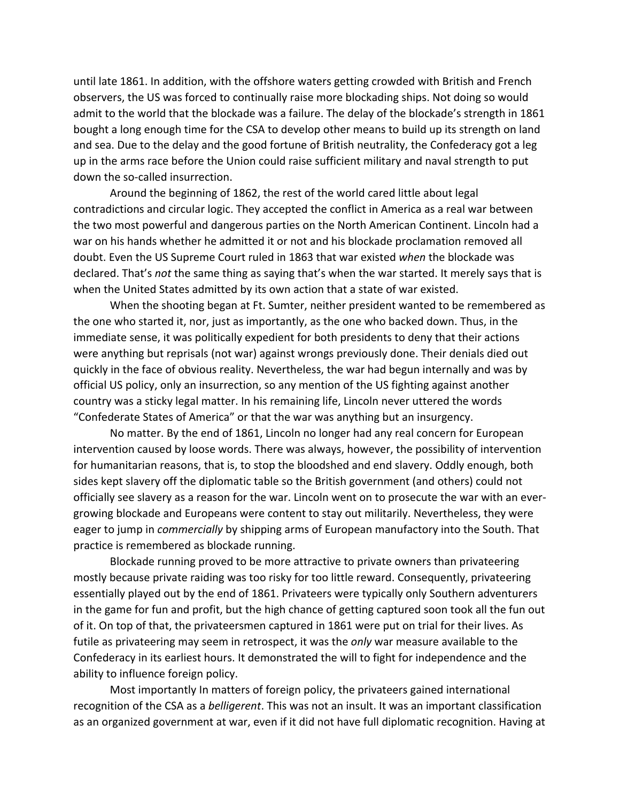until late 1861. In addition, with the offshore waters getting crowded with British and French observers, the US was forced to continually raise more blockading ships. Not doing so would admit to the world that the blockade was a failure. The delay of the blockade's strength in 1861 bought a long enough time for the CSA to develop other means to build up its strength on land and sea. Due to the delay and the good fortune of British neutrality, the Confederacy got a leg up in the arms race before the Union could raise sufficient military and naval strength to put down the so-called insurrection.

Around the beginning of 1862, the rest of the world cared little about legal contradictions and circular logic. They accepted the conflict in America as a real war between the two most powerful and dangerous parties on the North American Continent. Lincoln had a war on his hands whether he admitted it or not and his blockade proclamation removed all doubt. Even the US Supreme Court ruled in 1863 that war existed *when* the blockade was declared. That's *not* the same thing as saying that's when the war started. It merely says that is when the United States admitted by its own action that a state of war existed.

When the shooting began at Ft. Sumter, neither president wanted to be remembered as the one who started it, nor, just as importantly, as the one who backed down. Thus, in the immediate sense, it was politically expedient for both presidents to deny that their actions were anything but reprisals (not war) against wrongs previously done. Their denials died out quickly in the face of obvious reality. Nevertheless, the war had begun internally and was by official US policy, only an insurrection, so any mention of the US fighting against another country was a sticky legal matter. In his remaining life, Lincoln never uttered the words "Confederate States of America" or that the war was anything but an insurgency.

No matter. By the end of 1861, Lincoln no longer had any real concern for European intervention caused by loose words. There was always, however, the possibility of intervention for humanitarian reasons, that is, to stop the bloodshed and end slavery. Oddly enough, both sides kept slavery off the diplomatic table so the British government (and others) could not officially see slavery as a reason for the war. Lincoln went on to prosecute the war with an evergrowing blockade and Europeans were content to stay out militarily. Nevertheless, they were eager to jump in *commercially* by shipping arms of European manufactory into the South. That practice is remembered as blockade running.

Blockade running proved to be more attractive to private owners than privateering mostly because private raiding was too risky for too little reward. Consequently, privateering essentially played out by the end of 1861. Privateers were typically only Southern adventurers in the game for fun and profit, but the high chance of getting captured soon took all the fun out of it. On top of that, the privateersmen captured in 1861 were put on trial for their lives. As futile as privateering may seem in retrospect, it was the *only* war measure available to the Confederacy in its earliest hours. It demonstrated the will to fight for independence and the ability to influence foreign policy.

Most importantly In matters of foreign policy, the privateers gained international recognition of the CSA as a *belligerent*. This was not an insult. It was an important classification as an organized government at war, even if it did not have full diplomatic recognition. Having at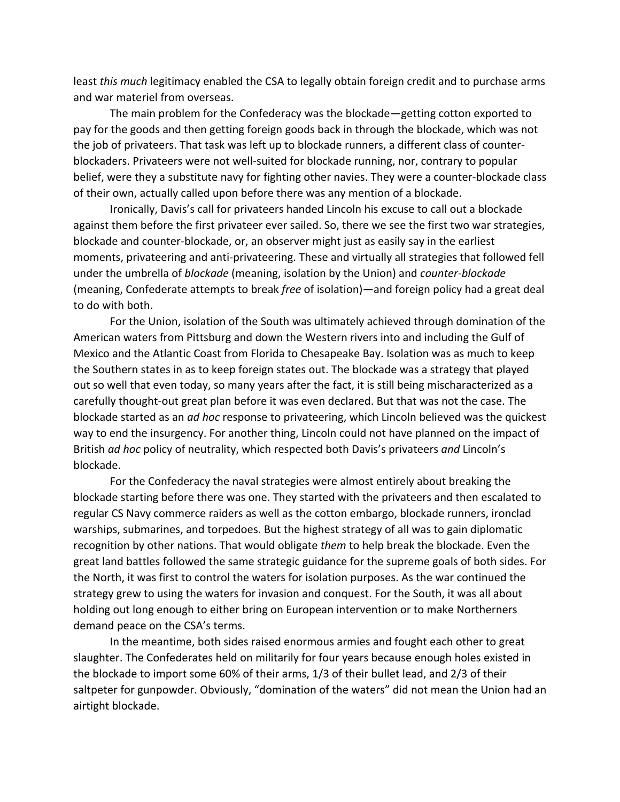least *this much* legitimacy enabled the CSA to legally obtain foreign credit and to purchase arms and war materiel from overseas.

The main problem for the Confederacy was the blockade—getting cotton exported to pay for the goods and then getting foreign goods back in through the blockade, which was not the job of privateers. That task was left up to blockade runners, a different class of counterblockaders. Privateers were not well-suited for blockade running, nor, contrary to popular belief, were they a substitute navy for fighting other navies. They were a counter-blockade class of their own, actually called upon before there was any mention of a blockade.

Ironically, Davis's call for privateers handed Lincoln his excuse to call out a blockade against them before the first privateer ever sailed. So, there we see the first two war strategies, blockade and counter-blockade, or, an observer might just as easily say in the earliest moments, privateering and anti-privateering. These and virtually all strategies that followed fell under the umbrella of *blockade* (meaning, isolation by the Union) and *counter-blockade* (meaning, Confederate attempts to break *free* of isolation)—and foreign policy had a great deal to do with both.

For the Union, isolation of the South was ultimately achieved through domination of the American waters from Pittsburg and down the Western rivers into and including the Gulf of Mexico and the Atlantic Coast from Florida to Chesapeake Bay. Isolation was as much to keep the Southern states in as to keep foreign states out. The blockade was a strategy that played out so well that even today, so many years after the fact, it is still being mischaracterized as a carefully thought-out great plan before it was even declared. But that was not the case. The blockade started as an *ad hoc* response to privateering, which Lincoln believed was the quickest way to end the insurgency. For another thing, Lincoln could not have planned on the impact of British *ad hoc* policy of neutrality, which respected both Davis's privateers *and* Lincoln's blockade.

For the Confederacy the naval strategies were almost entirely about breaking the blockade starting before there was one. They started with the privateers and then escalated to regular CS Navy commerce raiders as well as the cotton embargo, blockade runners, ironclad warships, submarines, and torpedoes. But the highest strategy of all was to gain diplomatic recognition by other nations. That would obligate *them* to help break the blockade. Even the great land battles followed the same strategic guidance for the supreme goals of both sides. For the North, it was first to control the waters for isolation purposes. As the war continued the strategy grew to using the waters for invasion and conquest. For the South, it was all about holding out long enough to either bring on European intervention or to make Northerners demand peace on the CSA's terms.

In the meantime, both sides raised enormous armies and fought each other to great slaughter. The Confederates held on militarily for four years because enough holes existed in the blockade to import some 60% of their arms, 1/3 of their bullet lead, and 2/3 of their saltpeter for gunpowder. Obviously, "domination of the waters" did not mean the Union had an airtight blockade.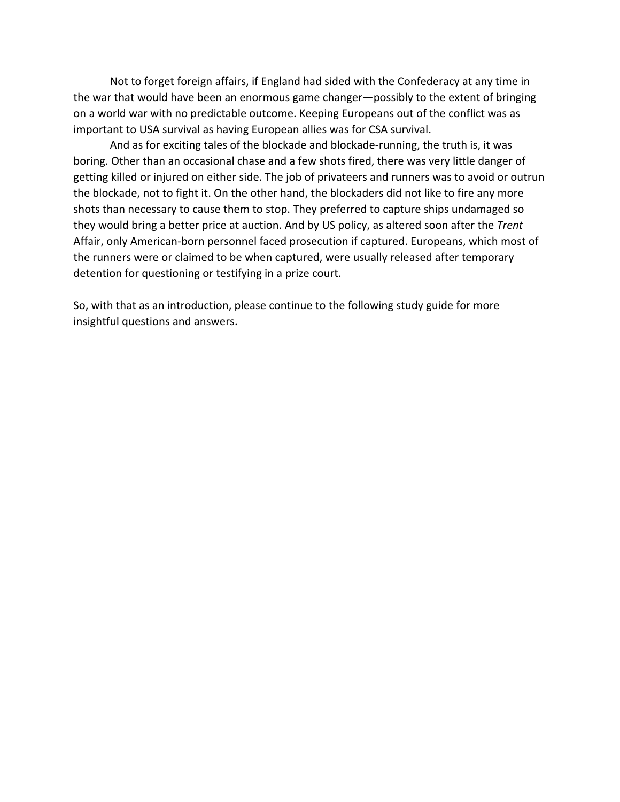Not to forget foreign affairs, if England had sided with the Confederacy at any time in the war that would have been an enormous game changer—possibly to the extent of bringing on a world war with no predictable outcome. Keeping Europeans out of the conflict was as important to USA survival as having European allies was for CSA survival.

And as for exciting tales of the blockade and blockade-running, the truth is, it was boring. Other than an occasional chase and a few shots fired, there was very little danger of getting killed or injured on either side. The job of privateers and runners was to avoid or outrun the blockade, not to fight it. On the other hand, the blockaders did not like to fire any more shots than necessary to cause them to stop. They preferred to capture ships undamaged so they would bring a better price at auction. And by US policy, as altered soon after the *Trent* Affair, only American-born personnel faced prosecution if captured. Europeans, which most of the runners were or claimed to be when captured, were usually released after temporary detention for questioning or testifying in a prize court.

So, with that as an introduction, please continue to the following study guide for more insightful questions and answers.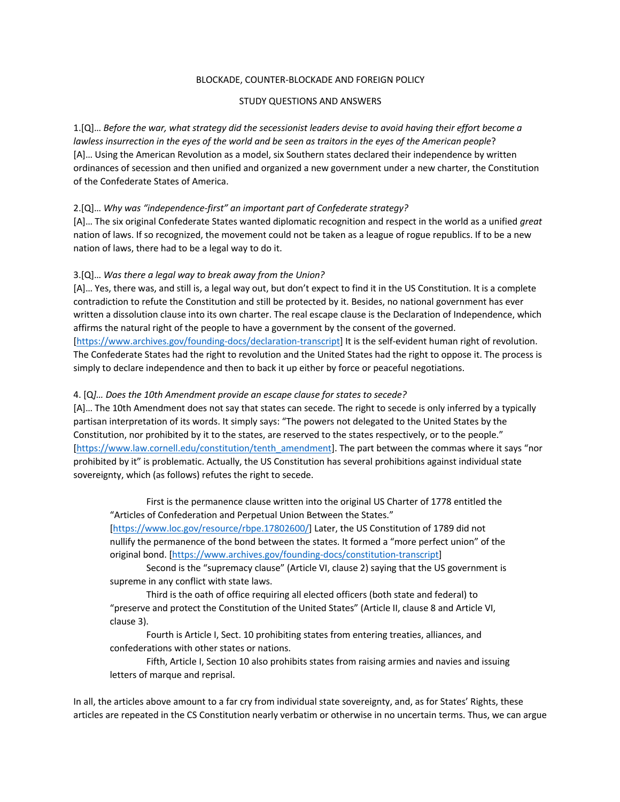### BLOCKADE, COUNTER-BLOCKADE AND FOREIGN POLICY

### STUDY QUESTIONS AND ANSWERS

1.[Q]… *Before the war, what strategy did the secessionist leaders devise to avoid having their effort become a lawless insurrection in the eyes of the world and be seen as traitors in the eyes of the American people*? [A]… Using the American Revolution as a model, six Southern states declared their independence by written ordinances of secession and then unified and organized a new government under a new charter, the Constitution of the Confederate States of America.

# 2.[Q]… *Why was "independence-first" an important part of Confederate strategy?*

[A]… The six original Confederate States wanted diplomatic recognition and respect in the world as a unified *great* nation of laws. If so recognized, the movement could not be taken as a league of rogue republics. If to be a new nation of laws, there had to be a legal way to do it.

# 3.[Q]… *Was there a legal way to break away from the Union?*

[A]… Yes, there was, and still is, a legal way out, but don't expect to find it in the US Constitution. It is a complete contradiction to refute the Constitution and still be protected by it. Besides, no national government has ever written a dissolution clause into its own charter. The real escape clause is the Declaration of Independence, which affirms the natural right of the people to have a government by the consent of the governed. [https://www.archives.gov/founding-docs/declaration-transcript] It is the self-evident human right of revolution. The Confederate States had the right to revolution and the United States had the right to oppose it. The process is simply to declare independence and then to back it up either by force or peaceful negotiations.

### 4. [Q*]… Does the 10th Amendment provide an escape clause for states to secede?*

[A]… The 10th Amendment does not say that states can secede. The right to secede is only inferred by a typically partisan interpretation of its words. It simply says: "The powers not delegated to the United States by the Constitution, nor prohibited by it to the states, are reserved to the states respectively, or to the people." [https://www.law.cornell.edu/constitution/tenth\_amendment]. The part between the commas where it says "nor prohibited by it" is problematic. Actually, the US Constitution has several prohibitions against individual state sovereignty, which (as follows) refutes the right to secede.

First is the permanence clause written into the original US Charter of 1778 entitled the "Articles of Confederation and Perpetual Union Between the States." [https://www.loc.gov/resource/rbpe.17802600/] Later, the US Constitution of 1789 did not nullify the permanence of the bond between the states. It formed a "more perfect union" of the original bond. [https://www.archives.gov/founding-docs/constitution-transcript]

Second is the "supremacy clause" (Article VI, clause 2) saying that the US government is supreme in any conflict with state laws.

Third is the oath of office requiring all elected officers (both state and federal) to "preserve and protect the Constitution of the United States" (Article II, clause 8 and Article VI, clause 3).

Fourth is Article I, Sect. 10 prohibiting states from entering treaties, alliances, and confederations with other states or nations.

Fifth, Article I, Section 10 also prohibits states from raising armies and navies and issuing letters of marque and reprisal.

In all, the articles above amount to a far cry from individual state sovereignty, and, as for States' Rights, these articles are repeated in the CS Constitution nearly verbatim or otherwise in no uncertain terms. Thus, we can argue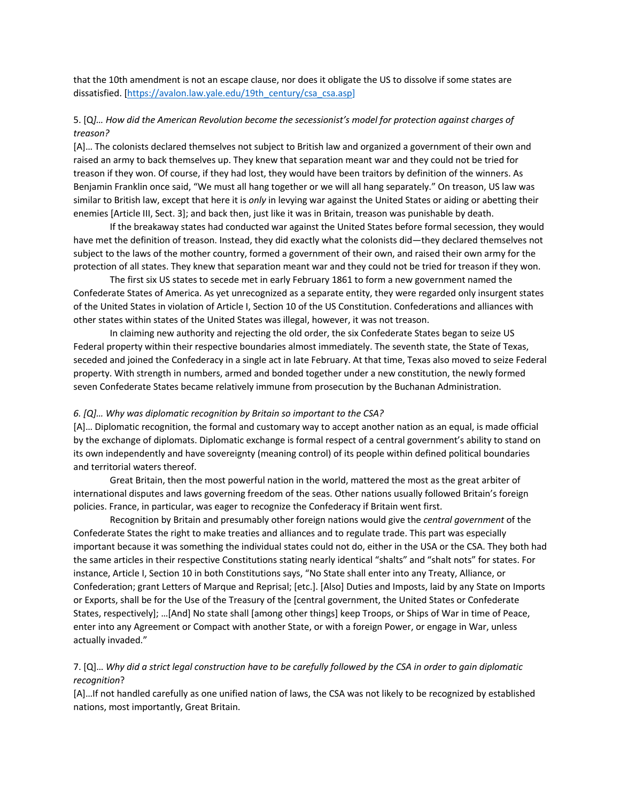that the 10th amendment is not an escape clause, nor does it obligate the US to dissolve if some states are dissatisfied. [https://avalon.law.yale.edu/19th\_century/csa\_csa.asp]

# 5. [Q*]… How did the American Revolution become the secessionist's model for protection against charges of treason?*

[A]… The colonists declared themselves not subject to British law and organized a government of their own and raised an army to back themselves up. They knew that separation meant war and they could not be tried for treason if they won. Of course, if they had lost, they would have been traitors by definition of the winners. As Benjamin Franklin once said, "We must all hang together or we will all hang separately." On treason, US law was similar to British law, except that here it is *only* in levying war against the United States or aiding or abetting their enemies [Article III, Sect. 3]; and back then, just like it was in Britain, treason was punishable by death.

If the breakaway states had conducted war against the United States before formal secession, they would have met the definition of treason. Instead, they did exactly what the colonists did—they declared themselves not subject to the laws of the mother country, formed a government of their own, and raised their own army for the protection of all states. They knew that separation meant war and they could not be tried for treason if they won.

The first six US states to secede met in early February 1861 to form a new government named the Confederate States of America. As yet unrecognized as a separate entity, they were regarded only insurgent states of the United States in violation of Article I, Section 10 of the US Constitution. Confederations and alliances with other states within states of the United States was illegal, however, it was not treason.

In claiming new authority and rejecting the old order, the six Confederate States began to seize US Federal property within their respective boundaries almost immediately. The seventh state, the State of Texas, seceded and joined the Confederacy in a single act in late February. At that time, Texas also moved to seize Federal property. With strength in numbers, armed and bonded together under a new constitution, the newly formed seven Confederate States became relatively immune from prosecution by the Buchanan Administration.

#### *6. [Q]… Why was diplomatic recognition by Britain so important to the CSA?*

[A]… Diplomatic recognition, the formal and customary way to accept another nation as an equal, is made official by the exchange of diplomats. Diplomatic exchange is formal respect of a central government's ability to stand on its own independently and have sovereignty (meaning control) of its people within defined political boundaries and territorial waters thereof.

Great Britain, then the most powerful nation in the world, mattered the most as the great arbiter of international disputes and laws governing freedom of the seas. Other nations usually followed Britain's foreign policies. France, in particular, was eager to recognize the Confederacy if Britain went first.

Recognition by Britain and presumably other foreign nations would give the *central government* of the Confederate States the right to make treaties and alliances and to regulate trade. This part was especially important because it was something the individual states could not do, either in the USA or the CSA. They both had the same articles in their respective Constitutions stating nearly identical "shalts" and "shalt nots" for states. For instance, Article I, Section 10 in both Constitutions says, "No State shall enter into any Treaty, Alliance, or Confederation; grant Letters of Marque and Reprisal; [etc.]. [Also] Duties and Imposts, laid by any State on Imports or Exports, shall be for the Use of the Treasury of the [central government, the United States or Confederate States, respectively]; …[And] No state shall [among other things] keep Troops, or Ships of War in time of Peace, enter into any Agreement or Compact with another State, or with a foreign Power, or engage in War, unless actually invaded."

# 7. [Q]… *Why did a strict legal construction have to be carefully followed by the CSA in order to gain diplomatic recognition*?

[A]…If not handled carefully as one unified nation of laws, the CSA was not likely to be recognized by established nations, most importantly, Great Britain.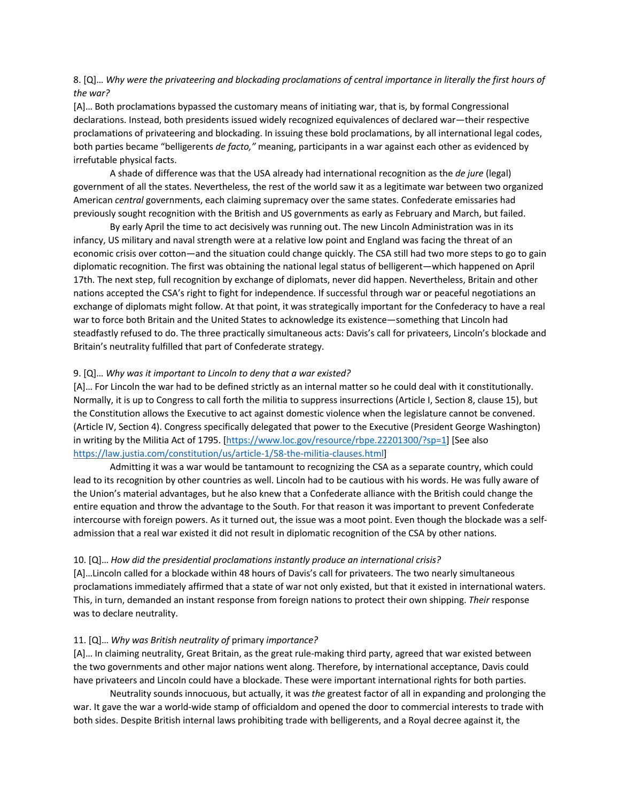# 8. [Q]… *Why were the privateering and blockading proclamations of central importance in literally the first hours of the war?*

[A]… Both proclamations bypassed the customary means of initiating war, that is, by formal Congressional declarations. Instead, both presidents issued widely recognized equivalences of declared war—their respective proclamations of privateering and blockading. In issuing these bold proclamations, by all international legal codes, both parties became "belligerents *de facto,"* meaning, participants in a war against each other as evidenced by irrefutable physical facts.

A shade of difference was that the USA already had international recognition as the *de jure* (legal) government of all the states. Nevertheless, the rest of the world saw it as a legitimate war between two organized American *central* governments, each claiming supremacy over the same states. Confederate emissaries had previously sought recognition with the British and US governments as early as February and March, but failed.

By early April the time to act decisively was running out. The new Lincoln Administration was in its infancy, US military and naval strength were at a relative low point and England was facing the threat of an economic crisis over cotton—and the situation could change quickly. The CSA still had two more steps to go to gain diplomatic recognition. The first was obtaining the national legal status of belligerent—which happened on April 17th. The next step, full recognition by exchange of diplomats, never did happen. Nevertheless, Britain and other nations accepted the CSA's right to fight for independence. If successful through war or peaceful negotiations an exchange of diplomats might follow. At that point, it was strategically important for the Confederacy to have a real war to force both Britain and the United States to acknowledge its existence—something that Lincoln had steadfastly refused to do. The three practically simultaneous acts: Davis's call for privateers, Lincoln's blockade and Britain's neutrality fulfilled that part of Confederate strategy.

#### 9. [Q]… *Why was it important to Lincoln to deny that a war existed?*

[A]… For Lincoln the war had to be defined strictly as an internal matter so he could deal with it constitutionally. Normally, it is up to Congress to call forth the militia to suppress insurrections (Article I, Section 8, clause 15), but the Constitution allows the Executive to act against domestic violence when the legislature cannot be convened. (Article IV, Section 4). Congress specifically delegated that power to the Executive (President George Washington) in writing by the Militia Act of 1795. [https://www.loc.gov/resource/rbpe.22201300/?sp=1] [See also https://law.justia.com/constitution/us/article-1/58-the-militia-clauses.html]

Admitting it was a war would be tantamount to recognizing the CSA as a separate country, which could lead to its recognition by other countries as well. Lincoln had to be cautious with his words. He was fully aware of the Union's material advantages, but he also knew that a Confederate alliance with the British could change the entire equation and throw the advantage to the South. For that reason it was important to prevent Confederate intercourse with foreign powers. As it turned out, the issue was a moot point. Even though the blockade was a selfadmission that a real war existed it did not result in diplomatic recognition of the CSA by other nations.

#### 10. [Q]… *How did the presidential proclamations instantly produce an international crisis?*

[A]…Lincoln called for a blockade within 48 hours of Davis's call for privateers. The two nearly simultaneous proclamations immediately affirmed that a state of war not only existed, but that it existed in international waters. This, in turn, demanded an instant response from foreign nations to protect their own shipping. *Their* response was to declare neutrality.

#### 11. [Q]… *Why was British neutrality of* primary *importance?*

[A]… In claiming neutrality, Great Britain, as the great rule-making third party, agreed that war existed between the two governments and other major nations went along. Therefore, by international acceptance, Davis could have privateers and Lincoln could have a blockade. These were important international rights for both parties.

Neutrality sounds innocuous, but actually, it was *the* greatest factor of all in expanding and prolonging the war. It gave the war a world-wide stamp of officialdom and opened the door to commercial interests to trade with both sides. Despite British internal laws prohibiting trade with belligerents, and a Royal decree against it, the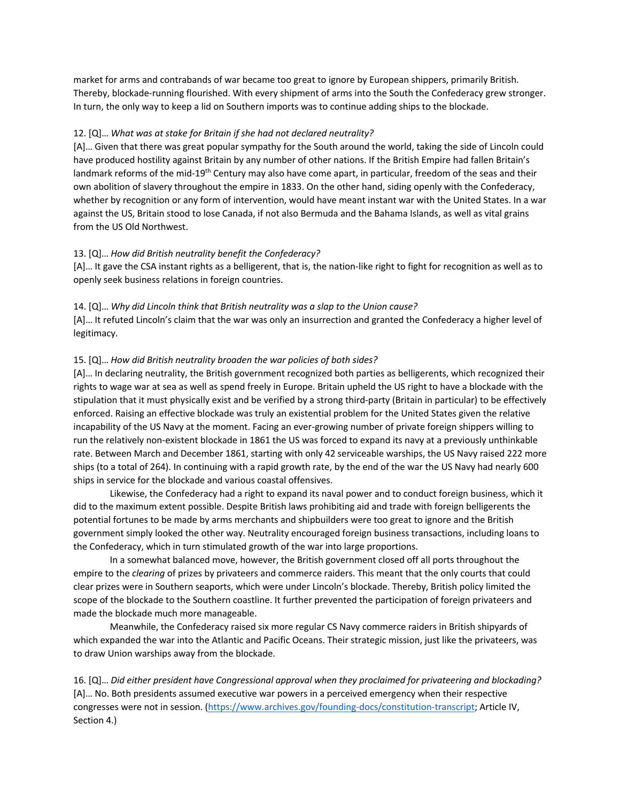market for arms and contrabands of war became too great to ignore by European shippers, primarily British. Thereby, blockade-running flourished. With every shipment of arms into the South the Confederacy grew stronger. In turn, the only way to keep a lid on Southern imports was to continue adding ships to the blockade.

# 12. [Q]… *What was at stake for Britain if she had not declared neutrality?*

[A]… Given that there was great popular sympathy for the South around the world, taking the side of Lincoln could have produced hostility against Britain by any number of other nations. If the British Empire had fallen Britain's landmark reforms of the mid-19<sup>th</sup> Century may also have come apart, in particular, freedom of the seas and their own abolition of slavery throughout the empire in 1833. On the other hand, siding openly with the Confederacy, whether by recognition or any form of intervention, would have meant instant war with the United States. In a war against the US, Britain stood to lose Canada, if not also Bermuda and the Bahama Islands, as well as vital grains from the US Old Northwest.

# 13. [Q]… *How did British neutrality benefit the Confederacy?*

[A]… It gave the CSA instant rights as a belligerent, that is, the nation-like right to fight for recognition as well as to openly seek business relations in foreign countries.

### 14. [Q]… *Why did Lincoln think that British neutrality was a slap to the Union cause?*

[A]… It refuted Lincoln's claim that the war was only an insurrection and granted the Confederacy a higher level of legitimacy.

### 15. [Q]… *How did British neutrality broaden the war policies of both sides?*

[A]… In declaring neutrality, the British government recognized both parties as belligerents, which recognized their rights to wage war at sea as well as spend freely in Europe. Britain upheld the US right to have a blockade with the stipulation that it must physically exist and be verified by a strong third-party (Britain in particular) to be effectively enforced. Raising an effective blockade was truly an existential problem for the United States given the relative incapability of the US Navy at the moment. Facing an ever-growing number of private foreign shippers willing to run the relatively non-existent blockade in 1861 the US was forced to expand its navy at a previously unthinkable rate. Between March and December 1861, starting with only 42 serviceable warships, the US Navy raised 222 more ships (to a total of 264). In continuing with a rapid growth rate, by the end of the war the US Navy had nearly 600 ships in service for the blockade and various coastal offensives.

Likewise, the Confederacy had a right to expand its naval power and to conduct foreign business, which it did to the maximum extent possible. Despite British laws prohibiting aid and trade with foreign belligerents the potential fortunes to be made by arms merchants and shipbuilders were too great to ignore and the British government simply looked the other way. Neutrality encouraged foreign business transactions, including loans to the Confederacy, which in turn stimulated growth of the war into large proportions.

In a somewhat balanced move, however, the British government closed off all ports throughout the empire to the *clearing* of prizes by privateers and commerce raiders. This meant that the only courts that could clear prizes were in Southern seaports, which were under Lincoln's blockade. Thereby, British policy limited the scope of the blockade to the Southern coastline. It further prevented the participation of foreign privateers and made the blockade much more manageable.

Meanwhile, the Confederacy raised six more regular CS Navy commerce raiders in British shipyards of which expanded the war into the Atlantic and Pacific Oceans. Their strategic mission, just like the privateers, was to draw Union warships away from the blockade.

16. [Q]… *Did either president have Congressional approval when they proclaimed for privateering and blockading?* [A]… No. Both presidents assumed executive war powers in a perceived emergency when their respective congresses were not in session. (https://www.archives.gov/founding-docs/constitution-transcript; Article IV, Section 4.)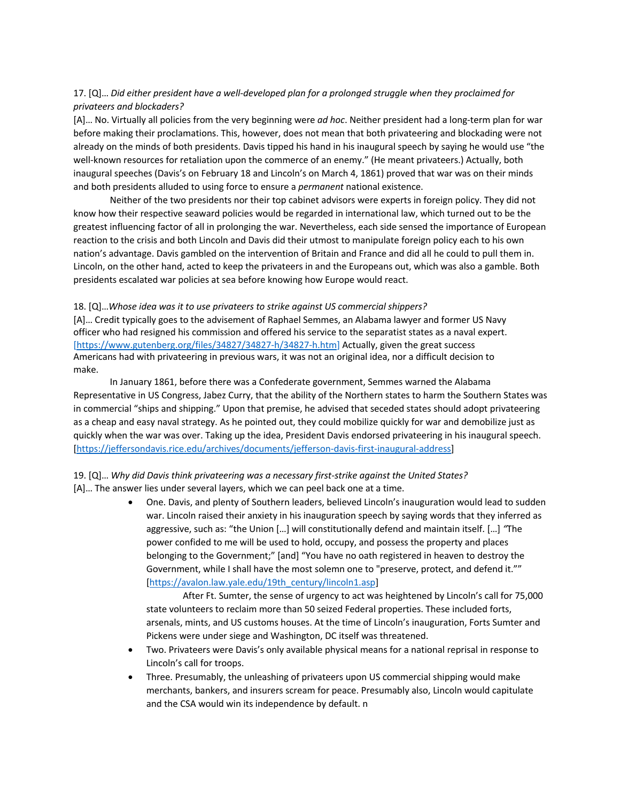# 17. [Q]… *Did either president have a well-developed plan for a prolonged struggle when they proclaimed for privateers and blockaders?*

[A]… No. Virtually all policies from the very beginning were *ad hoc*. Neither president had a long-term plan for war before making their proclamations. This, however, does not mean that both privateering and blockading were not already on the minds of both presidents. Davis tipped his hand in his inaugural speech by saying he would use "the well-known resources for retaliation upon the commerce of an enemy." (He meant privateers.) Actually, both inaugural speeches (Davis's on February 18 and Lincoln's on March 4, 1861) proved that war was on their minds and both presidents alluded to using force to ensure a *permanent* national existence.

Neither of the two presidents nor their top cabinet advisors were experts in foreign policy. They did not know how their respective seaward policies would be regarded in international law, which turned out to be the greatest influencing factor of all in prolonging the war. Nevertheless, each side sensed the importance of European reaction to the crisis and both Lincoln and Davis did their utmost to manipulate foreign policy each to his own nation's advantage. Davis gambled on the intervention of Britain and France and did all he could to pull them in. Lincoln, on the other hand, acted to keep the privateers in and the Europeans out, which was also a gamble. Both presidents escalated war policies at sea before knowing how Europe would react.

# 18. [Q]…*Whose idea was it to use privateers to strike against US commercial shippers?*

[A]… Credit typically goes to the advisement of Raphael Semmes, an Alabama lawyer and former US Navy officer who had resigned his commission and offered his service to the separatist states as a naval expert. [https://www.gutenberg.org/files/34827/34827-h/34827-h.htm] Actually, given the great success Americans had with privateering in previous wars, it was not an original idea, nor a difficult decision to make.

In January 1861, before there was a Confederate government, Semmes warned the Alabama Representative in US Congress, Jabez Curry, that the ability of the Northern states to harm the Southern States was in commercial "ships and shipping." Upon that premise, he advised that seceded states should adopt privateering as a cheap and easy naval strategy. As he pointed out, they could mobilize quickly for war and demobilize just as quickly when the war was over. Taking up the idea, President Davis endorsed privateering in his inaugural speech. [https://jeffersondavis.rice.edu/archives/documents/jefferson-davis-first-inaugural-address]

# 19. [Q]… *Why did Davis think privateering was a necessary first-strike against the United States?* [A]… The answer lies under several layers, which we can peel back one at a time.

• One. Davis, and plenty of Southern leaders, believed Lincoln's inauguration would lead to sudden war. Lincoln raised their anxiety in his inauguration speech by saying words that they inferred as aggressive, such as: "the Union […] will constitutionally defend and maintain itself. […] *"*The power confided to me will be used to hold, occupy, and possess the property and places belonging to the Government;" [and] "You have no oath registered in heaven to destroy the Government, while I shall have the most solemn one to "preserve, protect, and defend it."" [https://avalon.law.yale.edu/19th\_century/lincoln1.asp]

After Ft. Sumter, the sense of urgency to act was heightened by Lincoln's call for 75,000 state volunteers to reclaim more than 50 seized Federal properties. These included forts, arsenals, mints, and US customs houses. At the time of Lincoln's inauguration, Forts Sumter and Pickens were under siege and Washington, DC itself was threatened.

- Two. Privateers were Davis's only available physical means for a national reprisal in response to Lincoln's call for troops.
- Three. Presumably, the unleashing of privateers upon US commercial shipping would make merchants, bankers, and insurers scream for peace. Presumably also, Lincoln would capitulate and the CSA would win its independence by default. n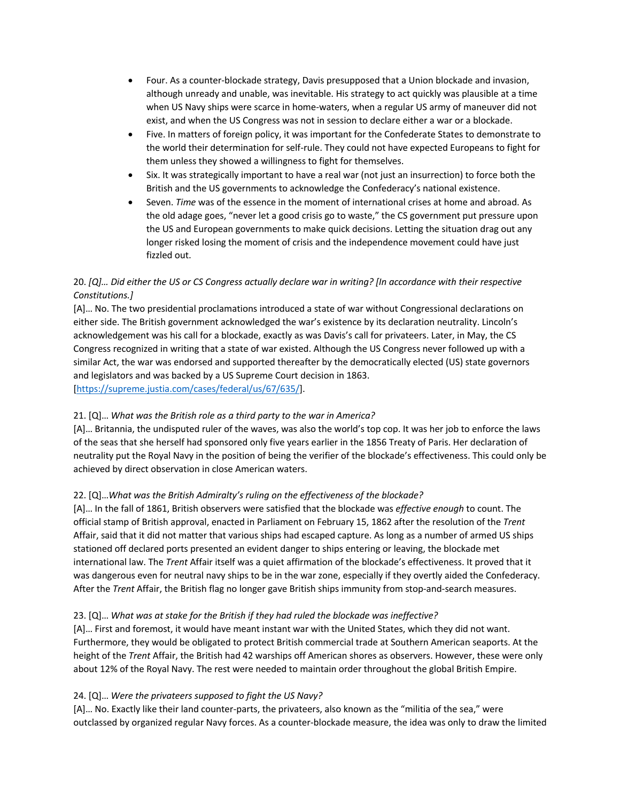- Four. As a counter-blockade strategy, Davis presupposed that a Union blockade and invasion, although unready and unable, was inevitable. His strategy to act quickly was plausible at a time when US Navy ships were scarce in home-waters, when a regular US army of maneuver did not exist, and when the US Congress was not in session to declare either a war or a blockade.
- Five. In matters of foreign policy, it was important for the Confederate States to demonstrate to the world their determination for self-rule. They could not have expected Europeans to fight for them unless they showed a willingness to fight for themselves.
- Six. It was strategically important to have a real war (not just an insurrection) to force both the British and the US governments to acknowledge the Confederacy's national existence.
- Seven. *Time* was of the essence in the moment of international crises at home and abroad. As the old adage goes, "never let a good crisis go to waste," the CS government put pressure upon the US and European governments to make quick decisions. Letting the situation drag out any longer risked losing the moment of crisis and the independence movement could have just fizzled out.

# 20. *[Q]… Did either the US or CS Congress actually declare war in writing? [In accordance with their respective Constitutions.]*

[A]… No. The two presidential proclamations introduced a state of war without Congressional declarations on either side. The British government acknowledged the war's existence by its declaration neutrality. Lincoln's acknowledgement was his call for a blockade, exactly as was Davis's call for privateers. Later, in May, the CS Congress recognized in writing that a state of war existed. Although the US Congress never followed up with a similar Act, the war was endorsed and supported thereafter by the democratically elected (US) state governors and legislators and was backed by a US Supreme Court decision in 1863. [https://supreme.justia.com/cases/federal/us/67/635/].

# 21. [Q]… *What was the British role as a third party to the war in America?*

[A]… Britannia, the undisputed ruler of the waves, was also the world's top cop. It was her job to enforce the laws of the seas that she herself had sponsored only five years earlier in the 1856 Treaty of Paris. Her declaration of neutrality put the Royal Navy in the position of being the verifier of the blockade's effectiveness. This could only be achieved by direct observation in close American waters.

# 22. [Q]…*What was the British Admiralty's ruling on the effectiveness of the blockade?*

[A]… In the fall of 1861, British observers were satisfied that the blockade was *effective enough* to count. The official stamp of British approval, enacted in Parliament on February 15, 1862 after the resolution of the *Trent* Affair, said that it did not matter that various ships had escaped capture. As long as a number of armed US ships stationed off declared ports presented an evident danger to ships entering or leaving, the blockade met international law. The *Trent* Affair itself was a quiet affirmation of the blockade's effectiveness. It proved that it was dangerous even for neutral navy ships to be in the war zone, especially if they overtly aided the Confederacy. After the *Trent* Affair, the British flag no longer gave British ships immunity from stop-and-search measures.

# 23. [Q]… *What was at stake for the British if they had ruled the blockade was ineffective?*

[A]… First and foremost, it would have meant instant war with the United States, which they did not want. Furthermore, they would be obligated to protect British commercial trade at Southern American seaports. At the height of the *Trent* Affair, the British had 42 warships off American shores as observers. However, these were only about 12% of the Royal Navy. The rest were needed to maintain order throughout the global British Empire.

# 24. [Q]… *Were the privateers supposed to fight the US Navy?*

[A]… No. Exactly like their land counter-parts, the privateers, also known as the "militia of the sea," were outclassed by organized regular Navy forces. As a counter-blockade measure, the idea was only to draw the limited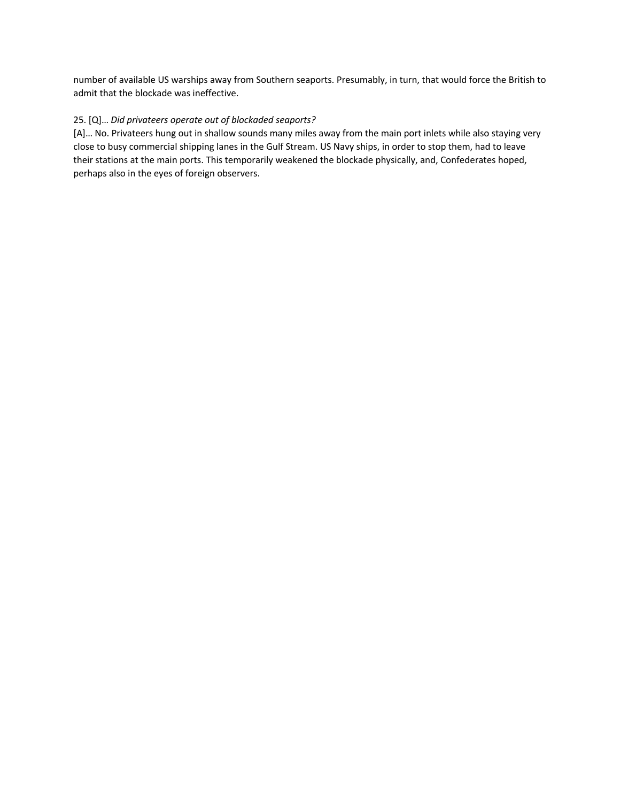number of available US warships away from Southern seaports. Presumably, in turn, that would force the British to admit that the blockade was ineffective.

# 25. [Q]… *Did privateers operate out of blockaded seaports?*

[A]… No. Privateers hung out in shallow sounds many miles away from the main port inlets while also staying very close to busy commercial shipping lanes in the Gulf Stream. US Navy ships, in order to stop them, had to leave their stations at the main ports. This temporarily weakened the blockade physically, and, Confederates hoped, perhaps also in the eyes of foreign observers.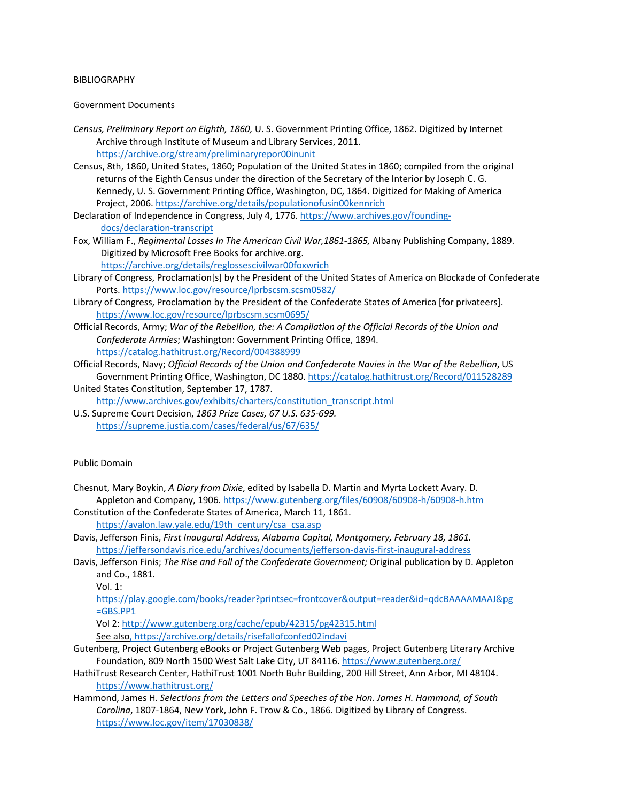#### BIBLIOGRAPHY

#### Government Documents

- *Census, Preliminary Report on Eighth, 1860,* U. S. Government Printing Office, 1862. Digitized by Internet Archive through Institute of Museum and Library Services, 2011. https://archive.org/stream/preliminaryrepor00inunit
- Census, 8th, 1860, United States, 1860; Population of the United States in 1860; compiled from the original returns of the Eighth Census under the direction of the Secretary of the Interior by Joseph C. G. Kennedy, U. S. Government Printing Office, Washington, DC, 1864. Digitized for Making of America Project, 2006. https://archive.org/details/populationofusin00kennrich
- Declaration of Independence in Congress, July 4, 1776. https://www.archives.gov/foundingdocs/declaration-transcript
- Fox, William F., *Regimental Losses In The American Civil War,1861-1865,* Albany Publishing Company, 1889. Digitized by Microsoft Free Books for archive.org.

https://archive.org/details/reglossescivilwar00foxwrich

- Library of Congress, Proclamation[s] by the President of the United States of America on Blockade of Confederate Ports. https://www.loc.gov/resource/lprbscsm.scsm0582/
- Library of Congress, Proclamation by the President of the Confederate States of America [for privateers]. https://www.loc.gov/resource/lprbscsm.scsm0695/
- Official Records, Army; *War of the Rebellion, the: A Compilation of the Official Records of the Union and Confederate Armies*; Washington: Government Printing Office, 1894. https://catalog.hathitrust.org/Record/004388999

Official Records, Navy; *Official Records of the Union and Confederate Navies in the War of the Rebellion*, US Government Printing Office, Washington, DC 1880. https://catalog.hathitrust.org/Record/011528289 United States Constitution, September 17, 1787.

http://www.archives.gov/exhibits/charters/constitution\_transcript.html

U.S. Supreme Court Decision, *1863 Prize Cases, 67 U.S. 635-699.*  https://supreme.justia.com/cases/federal/us/67/635/

### Public Domain

- Chesnut, Mary Boykin, *A Diary from Dixie*, edited by Isabella D. Martin and Myrta Lockett Avary. D. Appleton and Company, 1906. https://www.gutenberg.org/files/60908/60908-h/60908-h.htm
- Constitution of the Confederate States of America, March 11, 1861. https://avalon.law.yale.edu/19th\_century/csa\_csa.asp
- Davis, Jefferson Finis, *First Inaugural Address, Alabama Capital, Montgomery, February 18, 1861.* https://jeffersondavis.rice.edu/archives/documents/jefferson-davis-first-inaugural-address
- Davis, Jefferson Finis; *The Rise and Fall of the Confederate Government;* Original publication by D. Appleton and Co., 1881.

Vol. 1:

https://play.google.com/books/reader?printsec=frontcover&output=reader&id=qdcBAAAAMAAJ&pg  $=$ GBS.PP1

Vol 2: http://www.gutenberg.org/cache/epub/42315/pg42315.html See also, https://archive.org/details/risefallofconfed02indavi

- Gutenberg, Project Gutenberg eBooks or Project Gutenberg Web pages, Project Gutenberg Literary Archive Foundation, 809 North 1500 West Salt Lake City, UT 84116. https://www.gutenberg.org/
- HathiTrust Research Center, HathiTrust 1001 North Buhr Building, 200 Hill Street, Ann Arbor, MI 48104. https://www.hathitrust.org/
- Hammond, James H. *Selections from the Letters and Speeches of the Hon. James H. Hammond, of South Carolina*, 1807-1864, New York, John F. Trow & Co., 1866. Digitized by Library of Congress. https://www.loc.gov/item/17030838/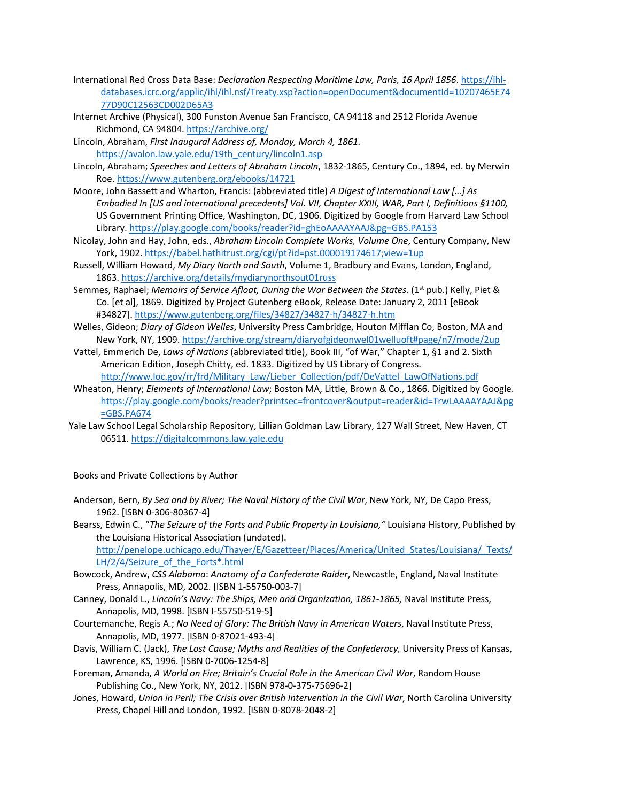- International Red Cross Data Base: *Declaration Respecting Maritime Law, Paris, 16 April 1856*. https://ihldatabases.icrc.org/applic/ihl/ihl.nsf/Treaty.xsp?action=openDocument&documentId=10207465E74 77D90C12563CD002D65A3
- Internet Archive (Physical), 300 Funston Avenue San Francisco, CA 94118 and 2512 Florida Avenue Richmond, CA 94804. https://archive.org/
- Lincoln, Abraham, *First Inaugural Address of, Monday, March 4, 1861.*  https://avalon.law.yale.edu/19th\_century/lincoln1.asp
- Lincoln, Abraham; *Speeches and Letters of Abraham Lincoln*, 1832-1865, Century Co., 1894, ed. by Merwin Roe. https://www.gutenberg.org/ebooks/14721
- Moore, John Bassett and Wharton, Francis: (abbreviated title) *A Digest of International Law […] As Embodied In [US and international precedents] Vol. VII, Chapter XXIII, WAR, Part I, Definitions §1100,*  US Government Printing Office, Washington, DC, 1906. Digitized by Google from Harvard Law School Library. https://play.google.com/books/reader?id=ghEoAAAAYAAJ&pg=GBS.PA153
- Nicolay, John and Hay, John, eds., *Abraham Lincoln Complete Works, Volume One*, Century Company, New York, 1902. https://babel.hathitrust.org/cgi/pt?id=pst.000019174617;view=1up
- Russell, William Howard, *My Diary North and South*, Volume 1, Bradbury and Evans, London, England, 1863. https://archive.org/details/mydiarynorthsout01russ
- Semmes, Raphael; *Memoirs of Service Afloat, During the War Between the States.* (1<sup>st</sup> pub.) Kelly, Piet & Co. [et al], 1869. Digitized by Project Gutenberg eBook, Release Date: January 2, 2011 [eBook #34827]. https://www.gutenberg.org/files/34827/34827-h/34827-h.htm
- Welles, Gideon; *Diary of Gideon Welles*, University Press Cambridge, Houton Mifflan Co, Boston, MA and New York, NY, 1909. https://archive.org/stream/diaryofgideonwel01welluoft#page/n7/mode/2up
- Vattel, Emmerich De, *Laws of Nations* (abbreviated title), Book III, "of War," Chapter 1, §1 and 2. Sixth American Edition, Joseph Chitty, ed. 1833. Digitized by US Library of Congress.

http://www.loc.gov/rr/frd/Military\_Law/Lieber\_Collection/pdf/DeVattel\_LawOfNations.pdf Wheaton, Henry; *Elements of International Law*; Boston MA, Little, Brown & Co., 1866. Digitized by Google.

- https://play.google.com/books/reader?printsec=frontcover&output=reader&id=TrwLAAAAYAAJ&pg =GBS.PA674
- Yale Law School Legal Scholarship Repository, Lillian Goldman Law Library, 127 Wall Street, New Haven, CT 06511. https://digitalcommons.law.yale.edu

Books and Private Collections by Author

Anderson, Bern, *By Sea and by River; The Naval History of the Civil War*, New York, NY, De Capo Press, 1962. [ISBN 0-306-80367-4]

Bearss, Edwin C., "*The Seizure of the Forts and Public Property in Louisiana,"* Louisiana History, Published by the Louisiana Historical Association (undated).

http://penelope.uchicago.edu/Thayer/E/Gazetteer/Places/America/United\_States/Louisiana/\_Texts/ LH/2/4/Seizure\_of\_the\_Forts\*.html

- Bowcock, Andrew, *CSS Alabama*: *Anatomy of a Confederate Raider*, Newcastle, England, Naval Institute Press, Annapolis, MD, 2002. [ISBN 1-55750-003-7]
- Canney, Donald L., *Lincoln's Navy: The Ships, Men and Organization, 1861-1865,* Naval Institute Press, Annapolis, MD, 1998. [ISBN I-55750-519-5]
- Courtemanche, Regis A.; *No Need of Glory: The British Navy in American Waters*, Naval Institute Press, Annapolis, MD, 1977. [ISBN 0-87021-493-4]
- Davis, William C. (Jack), *The Lost Cause; Myths and Realities of the Confederacy,* University Press of Kansas, Lawrence, KS, 1996. [ISBN 0-7006-1254-8]
- Foreman, Amanda, *A World on Fire; Britain's Crucial Role in the American Civil War*, Random House Publishing Co., New York, NY, 2012. [ISBN 978-0-375-75696-2]
- Jones, Howard, *Union in Peril; The Crisis over British Intervention in the Civil War*, North Carolina University Press, Chapel Hill and London, 1992. [ISBN 0-8078-2048-2]